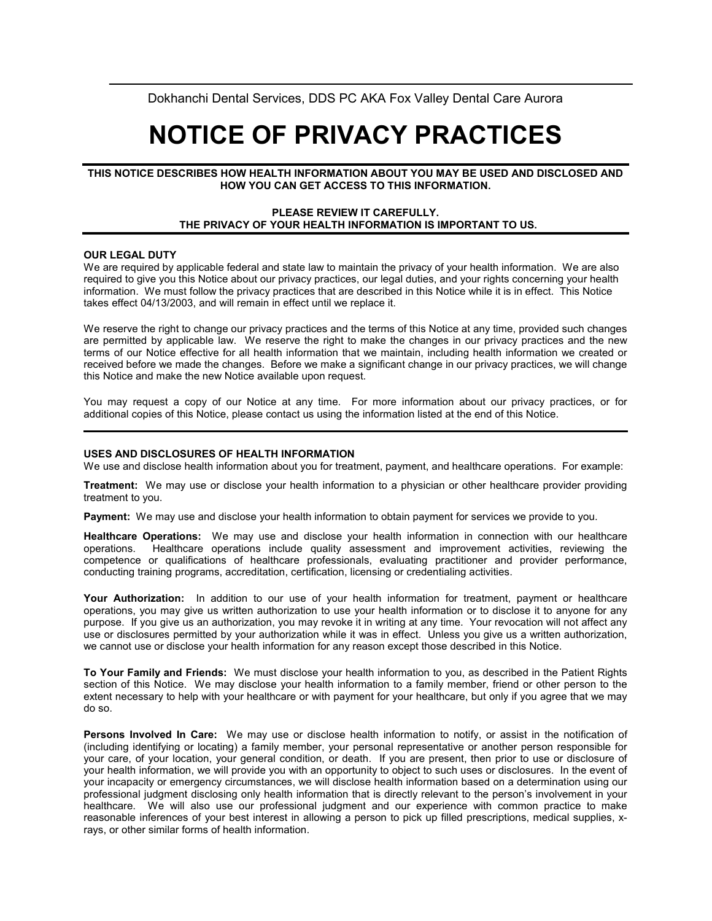Dokhanchi Dental Services, DDS PC AKA Fox Valley Dental Care Aurora

# NOTICE OF PRIVACY PRACTICES

# THIS NOTICE DESCRIBES HOW HEALTH INFORMATION ABOUT YOU MAY BE USED AND DISCLOSED AND HOW YOU CAN GET ACCESS TO THIS INFORMATION.

## PLEASE REVIEW IT CAREFULLY. THE PRIVACY OF YOUR HEALTH INFORMATION IS IMPORTANT TO US.

# OUR LEGAL DUTY

We are required by applicable federal and state law to maintain the privacy of your health information. We are also required to give you this Notice about our privacy practices, our legal duties, and your rights concerning your health information. We must follow the privacy practices that are described in this Notice while it is in effect. This Notice takes effect 04/13/2003, and will remain in effect until we replace it.

We reserve the right to change our privacy practices and the terms of this Notice at any time, provided such changes are permitted by applicable law. We reserve the right to make the changes in our privacy practices and the new terms of our Notice effective for all health information that we maintain, including health information we created or received before we made the changes. Before we make a significant change in our privacy practices, we will change this Notice and make the new Notice available upon request.

You may request a copy of our Notice at any time. For more information about our privacy practices, or for additional copies of this Notice, please contact us using the information listed at the end of this Notice.

## USES AND DISCLOSURES OF HEALTH INFORMATION

We use and disclose health information about you for treatment, payment, and healthcare operations. For example:

Treatment: We may use or disclose your health information to a physician or other healthcare provider providing treatment to you.

Payment: We may use and disclose your health information to obtain payment for services we provide to you.

Healthcare Operations: We may use and disclose your health information in connection with our healthcare operations. Healthcare operations include quality assessment and improvement activities, reviewing the competence or qualifications of healthcare professionals, evaluating practitioner and provider performance, conducting training programs, accreditation, certification, licensing or credentialing activities.

Your Authorization: In addition to our use of your health information for treatment, payment or healthcare operations, you may give us written authorization to use your health information or to disclose it to anyone for any purpose. If you give us an authorization, you may revoke it in writing at any time. Your revocation will not affect any use or disclosures permitted by your authorization while it was in effect. Unless you give us a written authorization, we cannot use or disclose your health information for any reason except those described in this Notice.

To Your Family and Friends: We must disclose your health information to you, as described in the Patient Rights section of this Notice. We may disclose your health information to a family member, friend or other person to the extent necessary to help with your healthcare or with payment for your healthcare, but only if you agree that we may do so.

Persons Involved In Care: We may use or disclose health information to notify, or assist in the notification of (including identifying or locating) a family member, your personal representative or another person responsible for your care, of your location, your general condition, or death. If you are present, then prior to use or disclosure of your health information, we will provide you with an opportunity to object to such uses or disclosures. In the event of your incapacity or emergency circumstances, we will disclose health information based on a determination using our professional judgment disclosing only health information that is directly relevant to the person's involvement in your healthcare. We will also use our professional judgment and our experience with common practice to make reasonable inferences of your best interest in allowing a person to pick up filled prescriptions, medical supplies, xrays, or other similar forms of health information.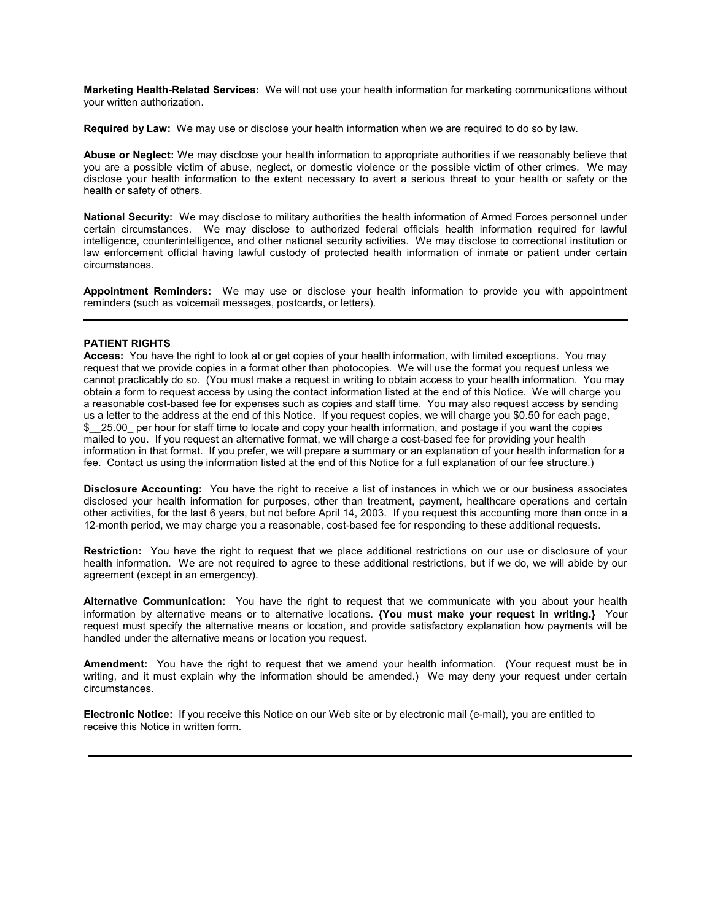Marketing Health-Related Services: We will not use your health information for marketing communications without your written authorization.

Required by Law: We may use or disclose your health information when we are required to do so by law.

Abuse or Neglect: We may disclose your health information to appropriate authorities if we reasonably believe that you are a possible victim of abuse, neglect, or domestic violence or the possible victim of other crimes. We may disclose your health information to the extent necessary to avert a serious threat to your health or safety or the health or safety of others.

National Security: We may disclose to military authorities the health information of Armed Forces personnel under certain circumstances. We may disclose to authorized federal officials health information required for lawful intelligence, counterintelligence, and other national security activities. We may disclose to correctional institution or law enforcement official having lawful custody of protected health information of inmate or patient under certain circumstances.

Appointment Reminders: We may use or disclose your health information to provide you with appointment reminders (such as voicemail messages, postcards, or letters).

#### PATIENT RIGHTS

Access: You have the right to look at or get copies of your health information, with limited exceptions. You may request that we provide copies in a format other than photocopies. We will use the format you request unless we cannot practicably do so. (You must make a request in writing to obtain access to your health information. You may obtain a form to request access by using the contact information listed at the end of this Notice. We will charge you a reasonable cost-based fee for expenses such as copies and staff time. You may also request access by sending us a letter to the address at the end of this Notice. If you request copies, we will charge you \$0.50 for each page, \$ 25.00 per hour for staff time to locate and copy your health information, and postage if you want the copies mailed to you. If you request an alternative format, we will charge a cost-based fee for providing your health information in that format. If you prefer, we will prepare a summary or an explanation of your health information for a fee. Contact us using the information listed at the end of this Notice for a full explanation of our fee structure.)

Disclosure Accounting: You have the right to receive a list of instances in which we or our business associates disclosed your health information for purposes, other than treatment, payment, healthcare operations and certain other activities, for the last 6 years, but not before April 14, 2003. If you request this accounting more than once in a 12-month period, we may charge you a reasonable, cost-based fee for responding to these additional requests.

Restriction: You have the right to request that we place additional restrictions on our use or disclosure of your health information. We are not required to agree to these additional restrictions, but if we do, we will abide by our agreement (except in an emergency).

Alternative Communication: You have the right to request that we communicate with you about your health information by alternative means or to alternative locations. {You must make your request in writing.} Your request must specify the alternative means or location, and provide satisfactory explanation how payments will be handled under the alternative means or location you request.

Amendment: You have the right to request that we amend your health information. (Your request must be in writing, and it must explain why the information should be amended.) We may deny your request under certain circumstances.

Electronic Notice: If you receive this Notice on our Web site or by electronic mail (e-mail), you are entitled to receive this Notice in written form.